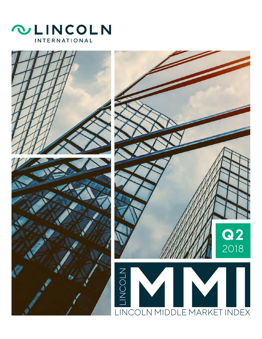



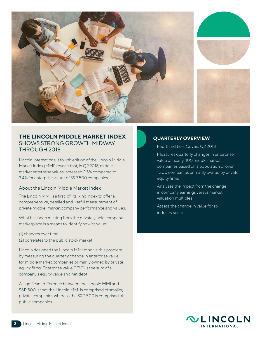

## **THE LINCOLN MIDDLE MARKET INDEX** SHOWS STRONG GROWTH MIDWAY THROUGH 2018

Lincoln International's fourth edition of the Lincoln Middle Market Index (MMI) reveals that, in Q2 2018, middle market enterprise values increased 2.5% compared to 3.4% for enterprise values of S&P 500 companies.

#### About the Lincoln Middle Market Index

The Lincoln MMI is a first-of-its-kind index to offer a comprehensive, detailed and useful measurement of private middle-market company performance and values.

What has been missing from the privately held company marketplace is a means to identify how its value:

- (1) changes over time
- (2) correlates to the public stock market.

Lincoln designed the Lincoln MMI to solve this problem by measuring the quarterly change in enterprise value for middle market companies primarily owned by private equity firms. Enterprise value ("EV") is the sum of a company's equity value and net debt.

A significant difference between the Lincoln MMI and S&P 500 is that the Lincoln MMI is comprised of smaller, private companies whereas the S&P 500 is comprised of public companies.

#### **QUARTERLY OVERVIEW**

- Fourth Edition: Covers Q2 2018
- Measures quarterly changes in enterprise value of nearly 400 middle market companies based on a population of over 1,300 companies primarily owned by private equity firms
- Analyzes the impact from the change in company earnings versus market valuation multiples
- Assess the change in value for six industry sectors

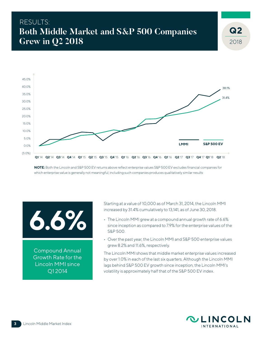# RESULTS: **Both Middle Market and S&P 500 Companies Grew in Q2 2018**



**NOTE:** Both the Lincoln and S&P 500 EV returns above reflect enterprise values S&P 500 EV excludes financial companies for which enterprise value is generally not meaningful; including such companies produces qualitatively similar results



Compound Annual Growth Rate for the Lincoln MMI since Q1 2014

Starting at a value of 10,000 as of March 31, 2014, the Lincoln MMI increased by 31.4% cumulatively to 13,141, as of June 30, 2018.

- The Lincoln MMI grew at a compound annual growth rate of 6.6% since inception as compared to 7.9% for the enterprise values of the S&P 500.
- Over the past year, the Lincoln MMI and S&P 500 enterprise values grew 8.2% and 11.6%, respectively.

The Lincoln MMI shows that middle market enterprise values increased by over 1.0% in each of the last six quarters. Although the Lincoln MMI lags behind S&P 500 EV growth since inception, the Lincoln MMI's volatility is approximately half that of the S&P 500 EV index.



2018

 $Q<sub>2</sub>$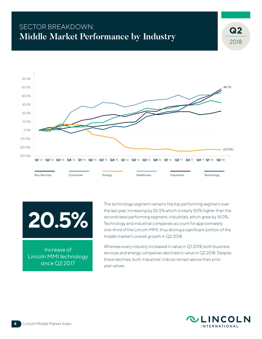# SECTOR BREAKDOWN: **Middle Market Performance by Industry**





Increase of Lincoln MMI technology since Q2 2017

The technology segment remains the top performing segment over the last year, increasing by 20.5% which is nearly 50% higher than the second-best performing segment, industrials, which grew by 14.0%. Technology and industrial companies account for approximately one-third of the Lincoln MMI, thus driving a significant portion of the middle market's overall growth in Q2 2018.

Whereas every industry increased in value in Q1 2018, both business services and energy companies declined in value in Q2 2018. Despite these declines, both industries' indices remain above their prior year values.



2018

 $Q<sub>2</sub>$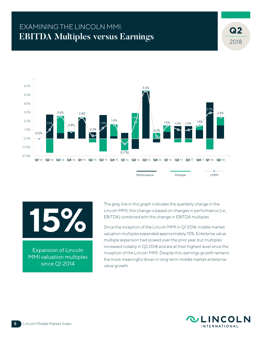# EXAMINING THE LINCOLN MMI: **EBITDA Multiples versus Earnings**



Expansion of Lincoln MMI valuation multiples since Q1 2014

The grey line in this graph indicates the quarterly change in the Lincoln MMI; this change is based on changes in performance (i.e., EBITDA) combined with the change in EBITDA multiples.

Since the inception of the Lincoln MMI in Q1 2014, middle market valuation multiples expanded approximately 15%. Enterprise value multiple expansion had slowed over the prior year, but multiples increased notably in Q2 2018 and are at their highest level since the inception of the Lincoln MMI. Despite this, earnings growth remains the more meaningful driver in long-term middle market enterprise value growth.



2018

 $Q<sub>2</sub>$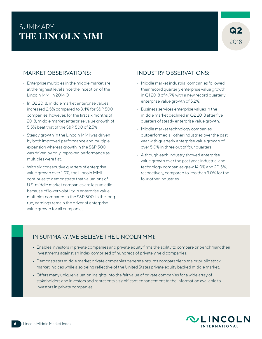# SUMMARY: **THE LINCOLN MMI**

## MARKET OBSERVATIONS:

- Enterprise multiples in the middle market are at the highest level since the inception of the Lincoln MMI in 2014 Q1.
- In Q2 2018, middle market enterprise values increased 2.5% compared to 3.4% for S&P 500 companies; however, for the first six months of 2018, middle market enterprise value growth of 5.5% beat that of the S&P 500 of 2.5%.
- Steady growth in the Lincoln MMI was driven by both improved performance and multiple expansion whereas growth in the S&P 500 was driven by only improved performance as multiples were flat.
- With six consecutive quarters of enterprise value growth over 1.0%, the Lincoln MMI continues to demonstrate that valuations of U.S. middle market companies are less volatile because of lower volatility in enterprise value multiples compared to the S&P 500; in the long run, earnings remain the driver of enterprise value growth for all companies.

## INDUSTRY OBSERVATIONS:

- Middle market industrial companies followed their record quarterly enterprise value growth in Q1 2018 of 4.9% with a new record quarterly enterprise value growth of 5.2%.
- Business services enterprise values in the middle market declined in Q2 2018 after five quarters of steady enterprise value growth.
- Middle market technology companies outperformed all other industries over the past year with quarterly enterprise value growth of over 5.0% in three out of four quarters.
- Although each industry showed enterprise value growth over the past year, industrial and technology companies grew 14.0% and 20.5%, respectively, compared to less than 3.0% for the four other industries.

## IN SUMMARY, WE BELIEVE THE LINCOLN MMI:

- Enables investors in private companies and private equity firms the ability to compare or benchmark their investments against an index comprised of hundreds of privately held companies.
- Demonstrates middle market private companies generate returns comparable to major public stock market indices while also being reflective of the United States private equity backed middle market.
- Offers many unique valuation insights into the fair value of private companies for a wide array of stakeholders and investors and represents a significant enhancement to the information available to investors in private companies.

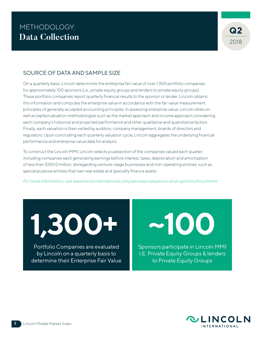

#### SOURCE OF DATA AND SAMPLE SIZE

On a quarterly basis, Lincoln determines the enterprise fair value of over 1,300 portfolio companies for approximately 100 sponsors (i.e., private equity groups and lenders to private equity groups). These portfolio companies report quarterly financial results to the sponsor or lender. Lincoln obtains this information and computes the enterprise value in accordance with the fair value measurement principles of generally accepted accounting principles. In assessing enterprise value, Lincoln relies on well accepted valuation methodologies such as the market approach and income approach considering each company's historical and projected performance and other qualitative and quantitative factors. Finally, each valuation is then vetted by auditors, company management, boards of directors and regulators. Upon concluding each quarterly valuation cycle, Lincoln aggregates the underlying financial performance and enterprise value data for analysis.

To construct the Lincoln MMI, Lincoln selects a subsection of the companies valued each quarter, including companies each generating earnings before interest, taxes, depreciation and amortization of less than \$100.0 million, disregarding venture-stage businesses and non-operating entities, such as special purpose entities that own real estate and specialty finance assets.

*For more information, visit www.lincolninternational.com/services/valuations-and-opinions/lincolnmmi*

**1,300+ ~100**

Portfolio Companies are evaluated by Lincoln on a quarterly basis to determine their Enterprise Fair Value

Sponsors participate in Lincoln MMI I.E. Private Equity Groups & lenders to Private Equity Groups

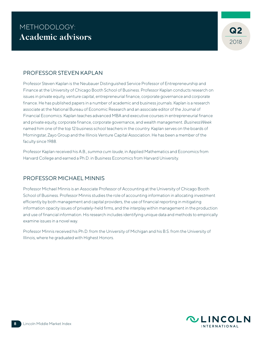#### PROFESSOR STEVEN KAPLAN

Professor Steven Kaplan is the Neubauer Distinguished Service Professor of Entrepreneurship and Finance at the University of Chicago Booth School of Business. Professor Kaplan conducts research on issues in private equity, venture capital, entrepreneurial finance, corporate governance and corporate finance. He has published papers in a number of academic and business journals. Kaplan is a research associate at the National Bureau of Economic Research and an associate editor of the Journal of Financial Economics. Kaplan teaches advanced MBA and executive courses in entrepreneurial finance and private equity, corporate finance, corporate governance, and wealth management. *BusinessWeek* named him one of the top 12 business school teachers in the country. Kaplan serves on the boards of Morningstar, Zayo Group and the Illinois Venture Capital Association. He has been a member of the faculty since 1988.

Professor Kaplan received his A.B., *summa cum laude*, in Applied Mathematics and Economics from Harvard College and earned a Ph.D. in Business Economics from Harvard University.

## PROFESSOR MICHAEL MINNIS

Professor Michael Minnis is an Associate Professor of Accounting at the University of Chicago Booth School of Business. Professor Minnis studies the role of accounting information in allocating investment efficiently by both management and capital providers, the use of financial reporting in mitigating information opacity issues of privately-held firms, and the interplay within management in the production and use of financial information. His research includes identifying unique data and methods to empirically examine issues in a novel way.

Professor Minnis received his Ph.D. from the University of Michigan and his B.S. from the University of Illinois, where he graduated with Highest Honors.

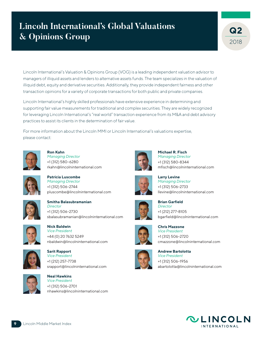# **Lincoln International's Global Valuations & Opinions Group**



Lincoln International's Valuation & Opinions Group (VOG) is a leading independent valuation advisor to managers of illiquid assets and lenders to alternative assets funds. The team specializes in the valuation of illiquid debt, equity and derivative securities. Additionally, they provide independent fairness and other transaction opinions for a variety of corporate transactions for both public and private companies.

Lincoln International's highly skilled professionals have extensive experience in determining and supporting fair value measurements for traditional and complex securities. They are widely recognized for leveraging Lincoln International's "real world" transaction experience from its M&A and debt advisory practices to assist its clients in the determination of fair value.

For more information about the Lincoln MMI or Lincoln International's valuations expertise, please contact:



**Ron Kahn** *Managing Director* +1 (312) 580-6280 rkahn@lincolninternational.com



**Patricia Luscombe** *Managing Director* +1 (312) 506-2744 pluscombe@lincolninternational.com



**Smitha Balasubramanian** *Director* +1 (312) 506-2730 sbalasubramanian@lincolninternational.com







**Sarit Rapport** *Vice President* +1 (212) 257-7738 srapport@lincolninternational.com



**Neal Hawkins** *Vice President* +1 (312) 506-2701 nhawkins@lincolninternational.com



**Michael R. Fisch** *Managing Director* +1 (312) 580-8344 mfisch@lincolninternational.com



**Larry Levine** *Managing Director* +1 (312) 506-2733 llevine@lincolninternational.com



**Brian Garfield** *Director* +1 (212) 277-8105 bgarfield@lincolninternational.com



**Chris Mazzone** *Vice President* +1 (312) 506-2720 cmazzone@lincolninternational.com



**Andrew Bartolotta** *Vice President* +1 (312) 506-1956 abartolotta@lincolninternational.com